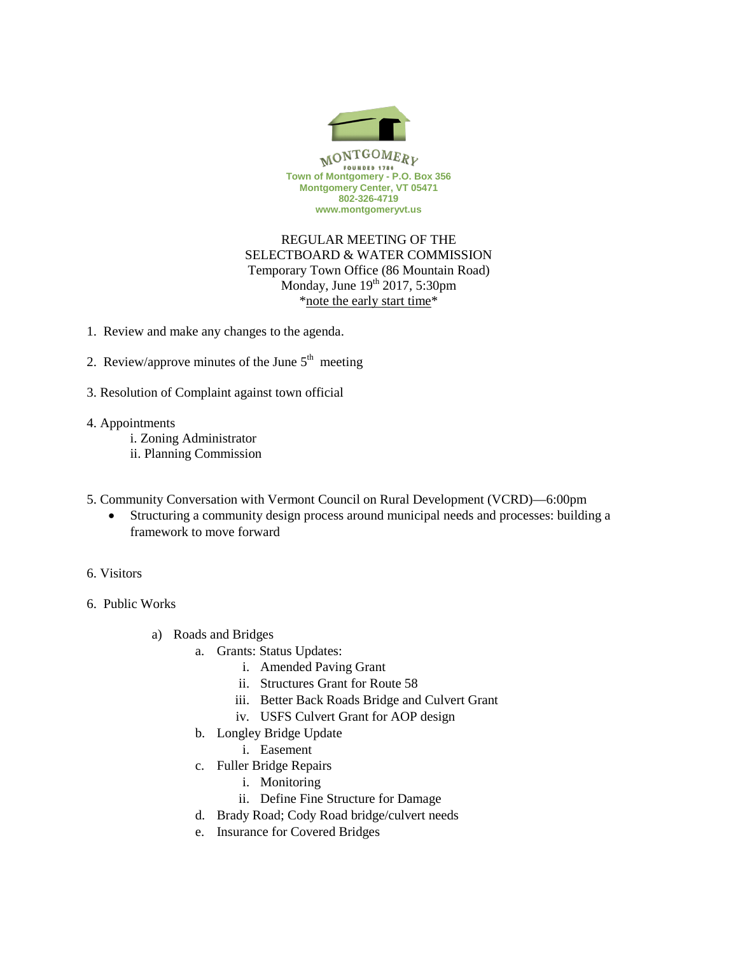

## REGULAR MEETING OF THE SELECTBOARD & WATER COMMISSION Temporary Town Office (86 Mountain Road) Monday, June  $19<sup>th</sup> 2017$ , 5:30pm \*note the early start time\*

- 1. Review and make any changes to the agenda.
- 2. Review/approve minutes of the June  $5<sup>th</sup>$  meeting
- 3. Resolution of Complaint against town official
- 4. Appointments
	- i. Zoning Administrator
	- ii. Planning Commission
- 5. Community Conversation with Vermont Council on Rural Development (VCRD)—6:00pm
	- Structuring a community design process around municipal needs and processes: building a framework to move forward
- 6. Visitors
- 6. Public Works
	- a) Roads and Bridges
		- a. Grants: Status Updates:
			- i. Amended Paving Grant
			- ii. Structures Grant for Route 58
			- iii. Better Back Roads Bridge and Culvert Grant
			- iv. USFS Culvert Grant for AOP design
		- b. Longley Bridge Update
			- i. Easement
		- c. Fuller Bridge Repairs
			- i. Monitoring
			- ii. Define Fine Structure for Damage
		- d. Brady Road; Cody Road bridge/culvert needs
		- e. Insurance for Covered Bridges